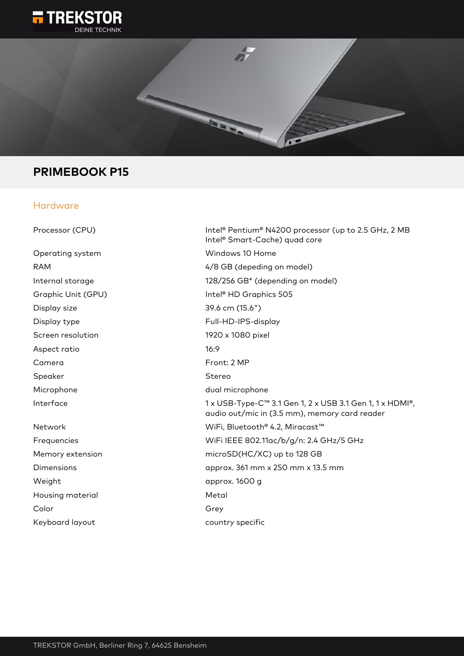



# **PRIMEBOOK P15**

### Hardware

| Processor (CPU)    | Intel® Pentium® N4200 processor (up to 2.5 GHz, 2 MB<br>Intel <sup>®</sup> Smart-Cache) quad core         |
|--------------------|-----------------------------------------------------------------------------------------------------------|
| Operating system   | Windows 10 Home                                                                                           |
| <b>RAM</b>         | 4/8 GB (depeding on model)                                                                                |
| Internal storage   | 128/256 GB* (depending on model)                                                                          |
| Graphic Unit (GPU) | Intel <sup>®</sup> HD Graphics 505                                                                        |
| Display size       | 39.6 cm (15.6")                                                                                           |
| Display type       | Full-HD-IPS-display                                                                                       |
| Screen resolution  | 1920 x 1080 pixel                                                                                         |
| Aspect ratio       | 16:9                                                                                                      |
| Camera             | Front: 2 MP                                                                                               |
| Speaker            | Stereo                                                                                                    |
| Microphone         | dual microphone                                                                                           |
| Interface          | 1 x USB-Type-C™ 3.1 Gen 1, 2 x USB 3.1 Gen 1, 1 x HDMI®,<br>audio out/mic in (3.5 mm), memory card reader |
| Network            | WiFi, Bluetooth® 4.2, Miracast™                                                                           |
| Frequencies        | WiFi IEEE 802.11ac/b/g/n: 2.4 GHz/5 GHz                                                                   |
| Memory extension   | microSD(HC/XC) up to 128 GB                                                                               |
| Dimensions         | approx. 361 mm x 250 mm x 13.5 mm                                                                         |
| Weight             | approx. 1600 g                                                                                            |
| Housing material   | Metal                                                                                                     |
| Color              | Grey                                                                                                      |
| Keyboard layout    | country specific                                                                                          |